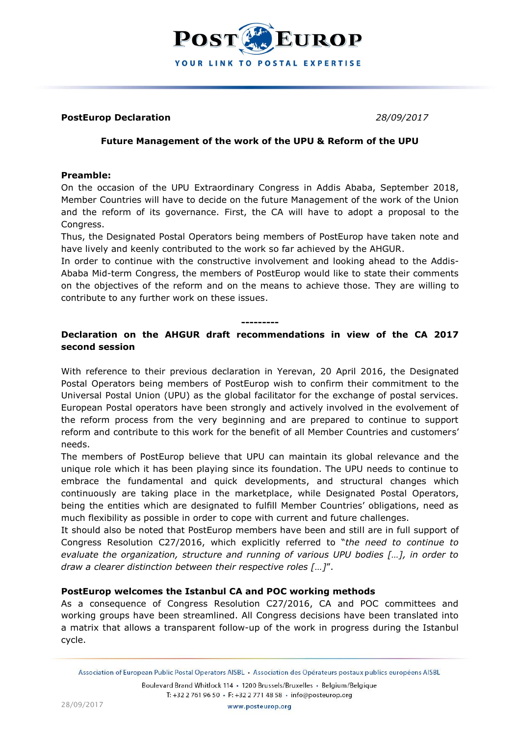

#### **PostEurop Declaration** *28/09/2017*

## **Future Management of the work of the UPU & Reform of the UPU**

#### **Preamble:**

On the occasion of the UPU Extraordinary Congress in Addis Ababa, September 2018, Member Countries will have to decide on the future Management of the work of the Union and the reform of its governance. First, the CA will have to adopt a proposal to the Congress.

Thus, the Designated Postal Operators being members of PostEurop have taken note and have lively and keenly contributed to the work so far achieved by the AHGUR.

In order to continue with the constructive involvement and looking ahead to the Addis-Ababa Mid-term Congress, the members of PostEurop would like to state their comments on the objectives of the reform and on the means to achieve those. They are willing to contribute to any further work on these issues.

#### **---------**

# **Declaration on the AHGUR draft recommendations in view of the CA 2017 second session**

With reference to their previous declaration in Yerevan, 20 April 2016, the Designated Postal Operators being members of PostEurop wish to confirm their commitment to the Universal Postal Union (UPU) as the global facilitator for the exchange of postal services. European Postal operators have been strongly and actively involved in the evolvement of the reform process from the very beginning and are prepared to continue to support reform and contribute to this work for the benefit of all Member Countries and customers' needs.

The members of PostEurop believe that UPU can maintain its global relevance and the unique role which it has been playing since its foundation. The UPU needs to continue to embrace the fundamental and quick developments, and structural changes which continuously are taking place in the marketplace, while Designated Postal Operators, being the entities which are designated to fulfill Member Countries' obligations, need as much flexibility as possible in order to cope with current and future challenges.

It should also be noted that PostEurop members have been and still are in full support of Congress Resolution C27/2016, which explicitly referred to "*the need to continue to evaluate the organization, structure and running of various UPU bodies […], in order to draw a clearer distinction between their respective roles […]*".

## **PostEurop welcomes the Istanbul CA and POC working methods**

As a consequence of Congress Resolution C27/2016, CA and POC committees and working groups have been streamlined. All Congress decisions have been translated into a matrix that allows a transparent follow-up of the work in progress during the Istanbul cycle.

Boulevard Brand Whitlock 114 · 1200 Brussels/Bruxelles · Belgium/Belgique T: +32 2 761 96 50 · F: +32 2 771 48 58 · info@posteurop.org

Association of European Public Postal Operators AISBL · Association des Opérateurs postaux publics européens AISBL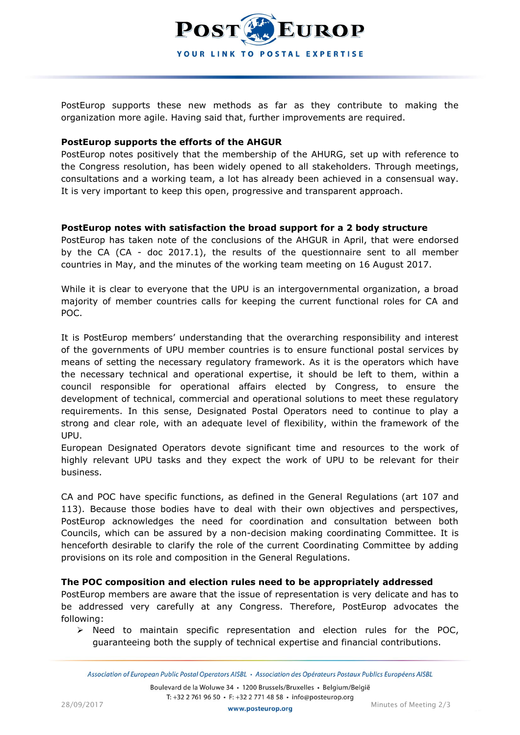

PostEurop supports these new methods as far as they contribute to making the organization more agile. Having said that, further improvements are required.

## **PostEurop supports the efforts of the AHGUR**

PostEurop notes positively that the membership of the AHURG, set up with reference to the Congress resolution, has been widely opened to all stakeholders. Through meetings, consultations and a working team, a lot has already been achieved in a consensual way. It is very important to keep this open, progressive and transparent approach.

## **PostEurop notes with satisfaction the broad support for a 2 body structure**

PostEurop has taken note of the conclusions of the AHGUR in April, that were endorsed by the CA (CA - doc 2017.1), the results of the questionnaire sent to all member countries in May, and the minutes of the working team meeting on 16 August 2017.

While it is clear to everyone that the UPU is an intergovernmental organization, a broad majority of member countries calls for keeping the current functional roles for CA and POC.

It is PostEurop members' understanding that the overarching responsibility and interest of the governments of UPU member countries is to ensure functional postal services by means of setting the necessary regulatory framework. As it is the operators which have the necessary technical and operational expertise, it should be left to them, within a council responsible for operational affairs elected by Congress, to ensure the development of technical, commercial and operational solutions to meet these regulatory requirements. In this sense, Designated Postal Operators need to continue to play a strong and clear role, with an adequate level of flexibility, within the framework of the UPU.

European Designated Operators devote significant time and resources to the work of highly relevant UPU tasks and they expect the work of UPU to be relevant for their business.

CA and POC have specific functions, as defined in the General Regulations (art 107 and 113). Because those bodies have to deal with their own objectives and perspectives, PostEurop acknowledges the need for coordination and consultation between both Councils, which can be assured by a non-decision making coordinating Committee. It is henceforth desirable to clarify the role of the current Coordinating Committee by adding provisions on its role and composition in the General Regulations.

## **The POC composition and election rules need to be appropriately addressed**

PostEurop members are aware that the issue of representation is very delicate and has to be addressed very carefully at any Congress. Therefore, PostEurop advocates the following:

 $\triangleright$  Need to maintain specific representation and election rules for the POC, guaranteeing both the supply of technical expertise and financial contributions.